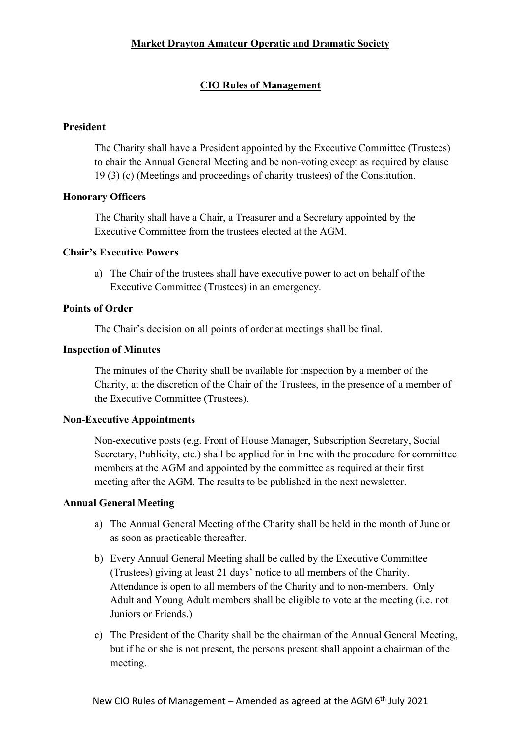# Market Drayton Amateur Operatic and Dramatic Society

# CIO Rules of Management

### President

The Charity shall have a President appointed by the Executive Committee (Trustees) to chair the Annual General Meeting and be non-voting except as required by clause 19 (3) (c) (Meetings and proceedings of charity trustees) of the Constitution.

### Honorary Officers

The Charity shall have a Chair, a Treasurer and a Secretary appointed by the Executive Committee from the trustees elected at the AGM.

### Chair's Executive Powers

a) The Chair of the trustees shall have executive power to act on behalf of the Executive Committee (Trustees) in an emergency.

### Points of Order

The Chair's decision on all points of order at meetings shall be final.

#### Inspection of Minutes

The minutes of the Charity shall be available for inspection by a member of the Charity, at the discretion of the Chair of the Trustees, in the presence of a member of the Executive Committee (Trustees).

#### Non-Executive Appointments

Non-executive posts (e.g. Front of House Manager, Subscription Secretary, Social Secretary, Publicity, etc.) shall be applied for in line with the procedure for committee members at the AGM and appointed by the committee as required at their first meeting after the AGM. The results to be published in the next newsletter.

#### Annual General Meeting

- a) The Annual General Meeting of the Charity shall be held in the month of June or as soon as practicable thereafter.
- b) Every Annual General Meeting shall be called by the Executive Committee (Trustees) giving at least 21 days' notice to all members of the Charity. Attendance is open to all members of the Charity and to non-members. Only Adult and Young Adult members shall be eligible to vote at the meeting (i.e. not Juniors or Friends.)
- c) The President of the Charity shall be the chairman of the Annual General Meeting, but if he or she is not present, the persons present shall appoint a chairman of the meeting.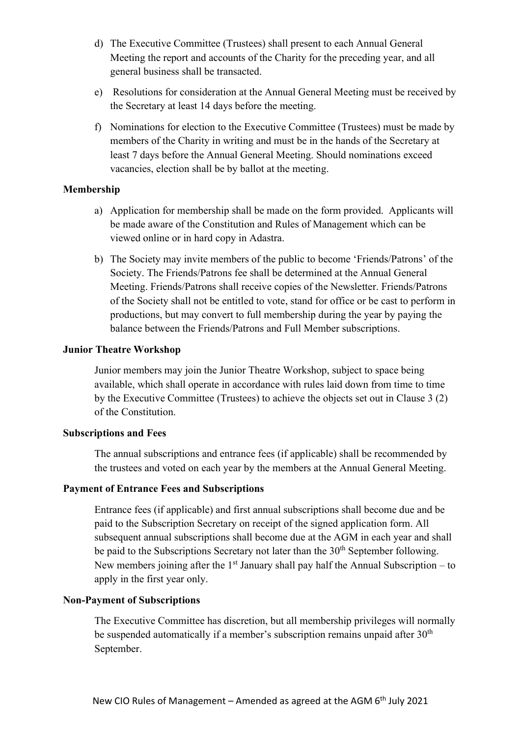- d) The Executive Committee (Trustees) shall present to each Annual General Meeting the report and accounts of the Charity for the preceding year, and all general business shall be transacted.
- e) Resolutions for consideration at the Annual General Meeting must be received by the Secretary at least 14 days before the meeting.
- f) Nominations for election to the Executive Committee (Trustees) must be made by members of the Charity in writing and must be in the hands of the Secretary at least 7 days before the Annual General Meeting. Should nominations exceed vacancies, election shall be by ballot at the meeting.

### Membership

- a) Application for membership shall be made on the form provided. Applicants will be made aware of the Constitution and Rules of Management which can be viewed online or in hard copy in Adastra.
- b) The Society may invite members of the public to become 'Friends/Patrons' of the Society. The Friends/Patrons fee shall be determined at the Annual General Meeting. Friends/Patrons shall receive copies of the Newsletter. Friends/Patrons of the Society shall not be entitled to vote, stand for office or be cast to perform in productions, but may convert to full membership during the year by paying the balance between the Friends/Patrons and Full Member subscriptions.

### Junior Theatre Workshop

Junior members may join the Junior Theatre Workshop, subject to space being available, which shall operate in accordance with rules laid down from time to time by the Executive Committee (Trustees) to achieve the objects set out in Clause 3 (2) of the Constitution.

# Subscriptions and Fees

The annual subscriptions and entrance fees (if applicable) shall be recommended by the trustees and voted on each year by the members at the Annual General Meeting.

# Payment of Entrance Fees and Subscriptions

Entrance fees (if applicable) and first annual subscriptions shall become due and be paid to the Subscription Secretary on receipt of the signed application form. All subsequent annual subscriptions shall become due at the AGM in each year and shall be paid to the Subscriptions Secretary not later than the 30<sup>th</sup> September following. New members joining after the  $1<sup>st</sup>$  January shall pay half the Annual Subscription – to apply in the first year only.

#### Non-Payment of Subscriptions

The Executive Committee has discretion, but all membership privileges will normally be suspended automatically if a member's subscription remains unpaid after  $30<sup>th</sup>$ September.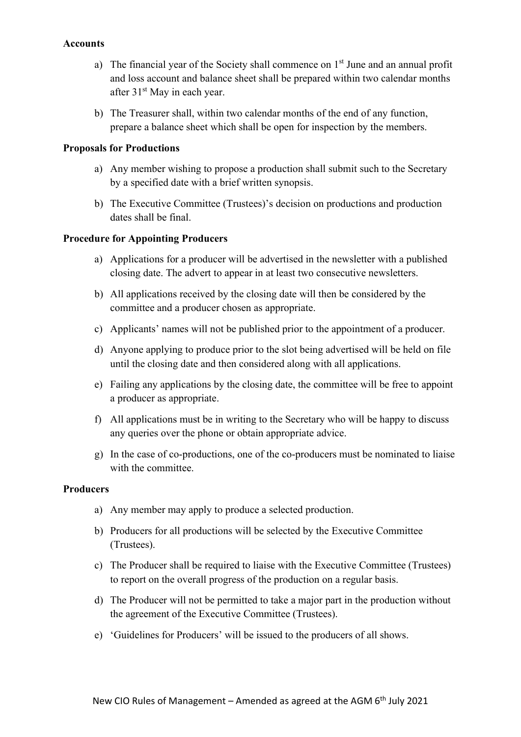#### Accounts

- a) The financial year of the Society shall commence on  $1<sup>st</sup>$  June and an annual profit and loss account and balance sheet shall be prepared within two calendar months after 31<sup>st</sup> May in each year.
- b) The Treasurer shall, within two calendar months of the end of any function, prepare a balance sheet which shall be open for inspection by the members.

#### Proposals for Productions

- a) Any member wishing to propose a production shall submit such to the Secretary by a specified date with a brief written synopsis.
- b) The Executive Committee (Trustees)'s decision on productions and production dates shall be final.

#### Procedure for Appointing Producers

- a) Applications for a producer will be advertised in the newsletter with a published closing date. The advert to appear in at least two consecutive newsletters.
- b) All applications received by the closing date will then be considered by the committee and a producer chosen as appropriate.
- c) Applicants' names will not be published prior to the appointment of a producer.
- d) Anyone applying to produce prior to the slot being advertised will be held on file until the closing date and then considered along with all applications.
- e) Failing any applications by the closing date, the committee will be free to appoint a producer as appropriate.
- f) All applications must be in writing to the Secretary who will be happy to discuss any queries over the phone or obtain appropriate advice.
- g) In the case of co-productions, one of the co-producers must be nominated to liaise with the committee.

#### Producers

- a) Any member may apply to produce a selected production.
- b) Producers for all productions will be selected by the Executive Committee (Trustees).
- c) The Producer shall be required to liaise with the Executive Committee (Trustees) to report on the overall progress of the production on a regular basis.
- d) The Producer will not be permitted to take a major part in the production without the agreement of the Executive Committee (Trustees).
- e) 'Guidelines for Producers' will be issued to the producers of all shows.